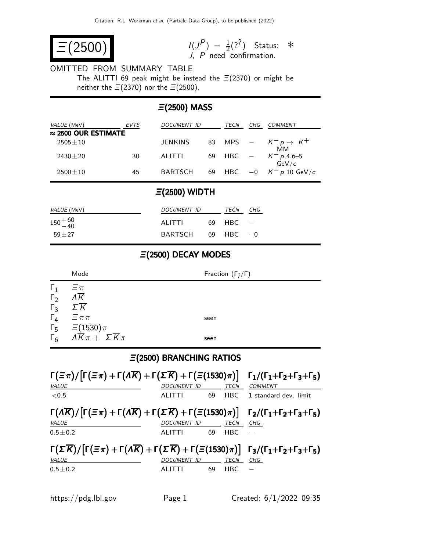$$
\boxed{\equiv (2500)} \qquad \qquad \frac{1}{J}
$$

 $\binom{P}{1} = \frac{1}{2} (?^?)$ J, P need confirmation. Status: ∗

# OMITTED FROM SUMMARY TABLE

The ALITTI 69 peak might be instead the  $\Xi(2370)$  or might be neither the  $\Xi(2370)$  nor the  $\Xi(2500)$ .

# Ξ(2500) MASS

| VALUE (MeV)                 | <b>EVTS</b> | <i>DOCUMENT ID</i> |    | TECN | CHG | COMMENT                               |  |  |
|-----------------------------|-------------|--------------------|----|------|-----|---------------------------------------|--|--|
| $\approx$ 2500 OUR ESTIMATE |             |                    |    |      |     |                                       |  |  |
| $2505 + 10$                 |             | <b>JENKINS</b>     |    |      |     | 83 MPS $ K^- p \rightarrow K^+$<br>MМ |  |  |
| $2430 \pm 20$               | 30          | <b>ALITTI</b>      | 69 |      |     | HBC $ K^- p 4.6-5$<br>GeV/c           |  |  |
| $2500 \pm 10$               | 45          | <b>BARTSCH</b>     | 69 |      |     | HBC $-0$ $K^- p 10 \text{ GeV}/c$     |  |  |

## Ξ(2500) WIDTH

| <i>VALUE</i> (MeV) | <i>DOCUMENT ID</i>  | TECN         | CHG |
|--------------------|---------------------|--------------|-----|
| $150^{+60}_{-40}$  | ALITTI              | $69$ HBC $-$ |     |
| $59 + 27$          | $BARTSCH 69 HBC -0$ |              |     |

## Ξ(2500) DECAY MODES

|            | Mode                                                                                                           | Fraction $(\Gamma_i/\Gamma)$ |  |  |
|------------|----------------------------------------------------------------------------------------------------------------|------------------------------|--|--|
| $\Gamma_1$ | $\Xi_{\pi}$                                                                                                    |                              |  |  |
| $\Gamma_2$ | $\overline{\Lambda K}$                                                                                         |                              |  |  |
| $\Gamma_3$ | $\Sigma \overline{K}$                                                                                          |                              |  |  |
|            | $\Gamma_4$ $\equiv \pi \pi$                                                                                    | seen                         |  |  |
|            |                                                                                                                |                              |  |  |
|            | $\begin{array}{cc} \Gamma_5 & \Xi(1530)\pi \\ \Gamma_6 & A\overline{K}\pi + \Sigma\overline{K}\pi \end{array}$ | seen                         |  |  |

## Ξ(2500) BRANCHING RATIOS

| $\Gamma(\Xi \pi)/[\Gamma(\Xi \pi)+\Gamma(\Lambda \overline{K})+\Gamma(\Sigma \overline{K})+\Gamma(\Xi(1530)\pi)] \Gamma_1/(\Gamma_1+\Gamma_2+\Gamma_3+\Gamma_5)$                                            |                    |    |                 |                       |
|-------------------------------------------------------------------------------------------------------------------------------------------------------------------------------------------------------------|--------------------|----|-----------------|-----------------------|
| VALUE                                                                                                                                                                                                       | <b>DOCUMENT ID</b> |    | <b>TECN</b>     | <b>COMMENT</b>        |
| < 0.5                                                                                                                                                                                                       | ALITTI             | 69 | H <sub>BC</sub> | 1 standard dev. limit |
| $\lceil (A\overline{K})/\lceil \Gamma(\Xi\pi) + \Gamma(A\overline{K}) + \Gamma(\Sigma\overline{K}) + \Gamma(\Xi(1530)\pi) \rceil$ $\lceil 2/(\Gamma_1 + \Gamma_2 + \Gamma_3 + \Gamma_5) \rceil$             |                    |    |                 |                       |
| VALUE                                                                                                                                                                                                       | <b>DOCUMENT ID</b> |    | <b>TECN</b>     | CHG                   |
| $0.5 + 0.2$                                                                                                                                                                                                 | ALITTI             | 69 | H <sub>BC</sub> |                       |
| $\Gamma(\Sigma \overline{K}) / \left[ \Gamma(\Xi \pi) + \Gamma(\Lambda \overline{K}) + \Gamma(\Sigma \overline{K}) + \Gamma(\Xi(1530)\pi) \right]$ $\Gamma_3 / (\Gamma_1 + \Gamma_2 + \Gamma_3 + \Gamma_5)$ |                    |    |                 |                       |
| VALUE                                                                                                                                                                                                       | <b>DOCUMENT ID</b> |    | TECN            | CHG                   |
| $0.5 + 0.2$                                                                                                                                                                                                 | <b>ALITTI</b>      | 69 | H <sub>BC</sub> |                       |